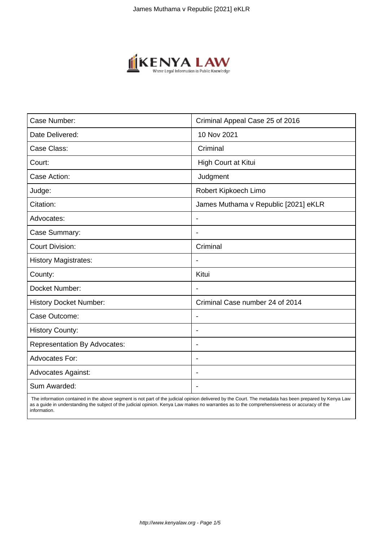

| Case Number:                        | Criminal Appeal Case 25 of 2016      |
|-------------------------------------|--------------------------------------|
| Date Delivered:                     | 10 Nov 2021                          |
| Case Class:                         | Criminal                             |
| Court:                              | High Court at Kitui                  |
| Case Action:                        | Judgment                             |
| Judge:                              | Robert Kipkoech Limo                 |
| Citation:                           | James Muthama v Republic [2021] eKLR |
| Advocates:                          | $\blacksquare$                       |
| Case Summary:                       | $\overline{\phantom{0}}$             |
| <b>Court Division:</b>              | Criminal                             |
| <b>History Magistrates:</b>         |                                      |
| County:                             | Kitui                                |
| Docket Number:                      |                                      |
| <b>History Docket Number:</b>       | Criminal Case number 24 of 2014      |
| Case Outcome:                       | $\blacksquare$                       |
| <b>History County:</b>              | $\blacksquare$                       |
| <b>Representation By Advocates:</b> | $\blacksquare$                       |
| Advocates For:                      | $\overline{\phantom{0}}$             |
| <b>Advocates Against:</b>           |                                      |
| Sum Awarded:                        |                                      |

 The information contained in the above segment is not part of the judicial opinion delivered by the Court. The metadata has been prepared by Kenya Law as a guide in understanding the subject of the judicial opinion. Kenya Law makes no warranties as to the comprehensiveness or accuracy of the information.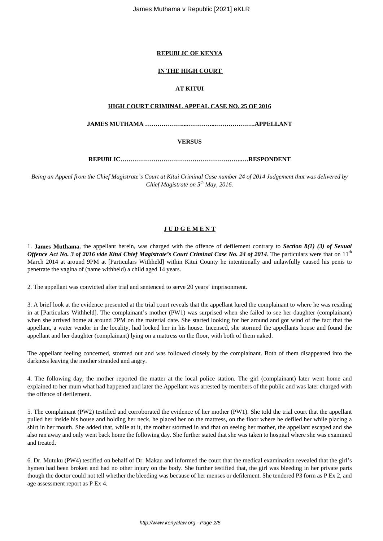## **REPUBLIC OF KENYA**

## **IN THE HIGH COURT**

# **AT KITUI**

## **HIGH COURT CRIMINAL APPEAL CASE NO. 25 OF 2016**

**JAMES MUTHAMA ………………...…………...……………….APPELLANT**

## **VERSUS**

## **REPUBLIC…………………………………………………...…RESPONDENT**

*Being an Appeal from the Chief Magistrate's Court at Kitui Criminal Case number 24 of 2014 Judgement that was delivered by Chief Magistrate on 5th May, 2016.*

# **J U D G E M E N T**

1. **James Muthama**, the appellant herein, was charged with the offence of defilement contrary to *Section 8(1) (3) of Sexual Offence Act No. 3 of 2016 vide Kitui Chief Magistrate's Court Criminal Case No. 24 of 2014*. The particulars were that on  $11<sup>th</sup>$ March 2014 at around 9PM at [Particulars Withheld] within Kitui County he intentionally and unlawfully caused his penis to penetrate the vagina of (name withheld) a child aged 14 years.

2. The appellant was convicted after trial and sentenced to serve 20 years' imprisonment.

3. A brief look at the evidence presented at the trial court reveals that the appellant lured the complainant to where he was residing in at [Particulars Withheld]. The complainant's mother (PW1) was surprised when she failed to see her daughter (complainant) when she arrived home at around 7PM on the material date. She started looking for her around and got wind of the fact that the appellant, a water vendor in the locality, had locked her in his house. Incensed, she stormed the appellants house and found the appellant and her daughter (complainant) lying on a mattress on the floor, with both of them naked.

The appellant feeling concerned, stormed out and was followed closely by the complainant. Both of them disappeared into the darkness leaving the mother stranded and angry.

4. The following day, the mother reported the matter at the local police station. The girl (complainant) later went home and explained to her mum what had happened and later the Appellant was arrested by members of the public and was later charged with the offence of defilement.

5. The complainant (PW2) testified and corroborated the evidence of her mother (PW1). She told the trial court that the appellant pulled her inside his house and holding her neck, he placed her on the mattress, on the floor where he defiled her while placing a shirt in her mouth. She added that, while at it, the mother stormed in and that on seeing her mother, the appellant escaped and she also ran away and only went back home the following day. She further stated that she was taken to hospital where she was examined and treated.

6. Dr. Mutuku (PW4) testified on behalf of Dr. Makau and informed the court that the medical examination revealed that the girl's hymen had been broken and had no other injury on the body. She further testified that, the girl was bleeding in her private parts though the doctor could not tell whether the bleeding was because of her menses or defilement. She tendered P3 form as P Ex 2, and age assessment report as P Ex 4.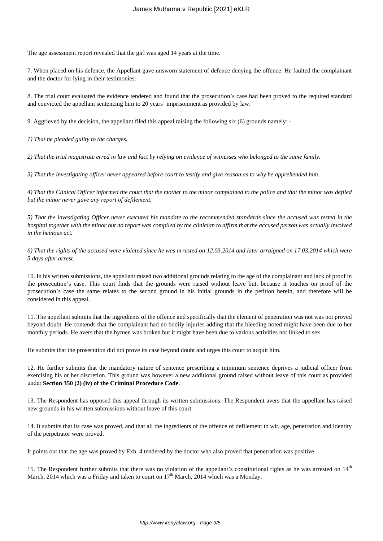The age assessment report revealed that the girl was aged 14 years at the time.

7. When placed on his defence, the Appellant gave unsworn statement of defence denying the offence. He faulted the complainant and the doctor for lying in their testimonies.

8. The trial court evaluated the evidence tendered and found that the prosecution's case had been proved to the required standard and convicted the appellant sentencing him to 20 years' imprisonment as provided by law.

9. Aggrieved by the decision, the appellant filed this appeal raising the following six (6) grounds namely: -

*1) That he pleaded guilty to the charges.*

*2) That the trial magistrate erred in law and fact by relying on evidence of witnesses who belonged to the same family.*

*3) That the investigating officer never appeared before court to testify and give reason as to why he apprehended him.*

*4) That the Clinical Officer informed the court that the mother to the minor complained to the police and that the minor was defiled but the minor never gave any report of defilement.*

*5) That the investigating Officer never executed his mandate to the recommended standards since the accused was tested in the hospital together with the minor but no report was compiled by the clinician to affirm that the accused person was actually involved in the heinous act.*

*6) That the rights of the accused were violated since he was arrested on 12.03.2014 and later arraigned on 17.03.2014 which were 5 days after arrest.*

10. In his written submissions, the appellant raised two additional grounds relating to the age of the complainant and lack of proof in the prosecution's case. This court finds that the grounds were raised without leave but, because it touches on proof of the prosecution's case the same relates to the second ground in his initial grounds in the petition herein, and therefore will be considered in this appeal.

11. The appellant submits that the ingredients of the offence and specifically that the element of penetration was not was not proved beyond doubt. He contends that the complainant had no bodily injuries adding that the bleeding noted might have been due to her monthly periods. He avers that the hymen was broken but it might have been due to various activities not linked to sex.

He submits that the prosecution did not prove its case beyond doubt and urges this court to acquit him.

12. He further submits that the mandatory nature of sentence prescribing a minimum sentence deprives a judicial officer from exercising his or her discretion. This ground was however a new additional ground raised without leave of this court as provided under **Section 350 (2) (iv) of the Criminal Procedure Code**.

13. The Respondent has opposed this appeal through its written submissions. The Respondent avers that the appellant has raised new grounds in his written submissions without leave of this court.

14. It submits that its case was proved, and that all the ingredients of the offence of defilement to wit, age, penetration and identity of the perpetrator were proved.

It points out that the age was proved by Exb. 4 tendered by the doctor who also proved that penetration was positive.

15. The Respondent further submits that there was no violation of the appellant's constitutional rights as he was arrested on  $14<sup>th</sup>$ March, 2014 which was a Friday and taken to court on  $17<sup>th</sup>$  March, 2014 which was a Monday.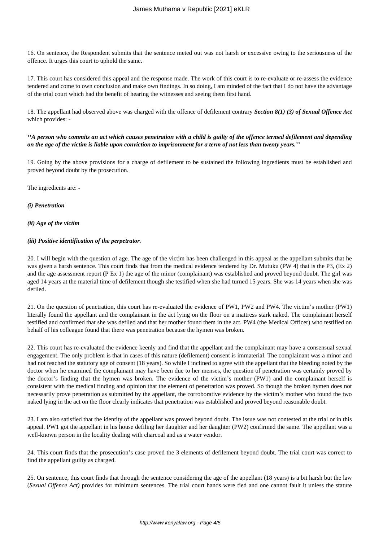16. On sentence, the Respondent submits that the sentence meted out was not harsh or excessive owing to the seriousness of the offence. It urges this court to uphold the same.

17. This court has considered this appeal and the response made. The work of this court is to re-evaluate or re-assess the evidence tendered and come to own conclusion and make own findings. In so doing, I am minded of the fact that I do not have the advantage of the trial court which had the benefit of hearing the witnesses and seeing them first hand.

18. The appellant had observed above was charged with the offence of defilement contrary *Section 8(1) (3) of Sexual Offence Act* which provides: -

## *''A person who commits an act which causes penetration with a child is guilty of the offence termed defilement and depending on the age of the victim is liable upon conviction to imprisonment for a term of not less than twenty years.''*

19. Going by the above provisions for a charge of defilement to be sustained the following ingredients must be established and proved beyond doubt by the prosecution.

The ingredients are: -

### *(i) Penetration*

### *(ii) Age of the victim*

### *(iii) Positive identification of the perpetrator.*

20. I will begin with the question of age. The age of the victim has been challenged in this appeal as the appellant submits that he was given a harsh sentence. This court finds that from the medical evidence tendered by Dr. Mutuku (PW 4) that is the P3, (Ex 2) and the age assessment report (P Ex 1) the age of the minor (complainant) was established and proved beyond doubt. The girl was aged 14 years at the material time of defilement though she testified when she had turned 15 years. She was 14 years when she was defiled.

21. On the question of penetration, this court has re-evaluated the evidence of PW1, PW2 and PW4. The victim's mother (PW1) literally found the appellant and the complainant in the act lying on the floor on a mattress stark naked. The complainant herself testified and confirmed that she was defiled and that her mother found them in the act. PW4 (the Medical Officer) who testified on behalf of his colleague found that there was penetration because the hymen was broken.

22. This court has re-evaluated the evidence keenly and find that the appellant and the complainant may have a consensual sexual engagement. The only problem is that in cases of this nature (defilement) consent is immaterial. The complainant was a minor and had not reached the statutory age of consent (18 years). So while I inclined to agree with the appellant that the bleeding noted by the doctor when he examined the complainant may have been due to her menses, the question of penetration was certainly proved by the doctor's finding that the hymen was broken. The evidence of the victim's mother (PW1) and the complainant herself is consistent with the medical finding and opinion that the element of penetration was proved. So though the broken hymen does not necessarily prove penetration as submitted by the appellant, the corroborative evidence by the victim's mother who found the two naked lying in the act on the floor clearly indicates that penetration was established and proved beyond reasonable doubt.

23. I am also satisfied that the identity of the appellant was proved beyond doubt. The issue was not contested at the trial or in this appeal. PW1 got the appellant in his house defiling her daughter and her daughter (PW2) confirmed the same. The appellant was a well-known person in the locality dealing with charcoal and as a water vendor.

24. This court finds that the prosecution's case proved the 3 elements of defilement beyond doubt. The trial court was correct to find the appellant guilty as charged.

25. On sentence, this court finds that through the sentence considering the age of the appellant (18 years) is a bit harsh but the law (*Sexual Offence Act)* provides for minimum sentences. The trial court hands were tied and one cannot fault it unless the statute